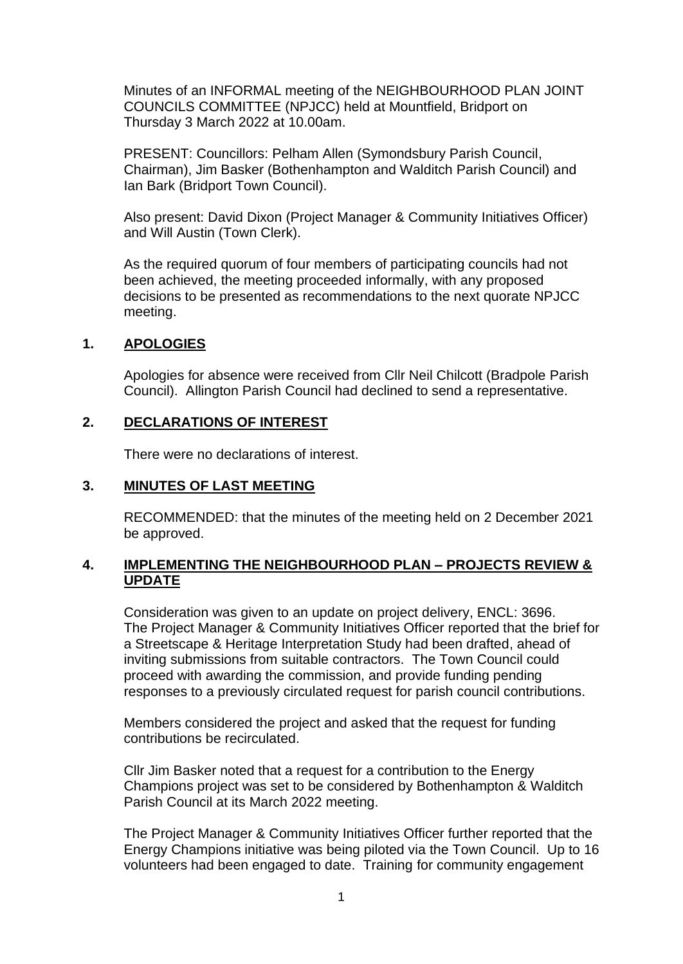Minutes of an INFORMAL meeting of the NEIGHBOURHOOD PLAN JOINT COUNCILS COMMITTEE (NPJCC) held at Mountfield, Bridport on Thursday 3 March 2022 at 10.00am.

PRESENT: Councillors: Pelham Allen (Symondsbury Parish Council, Chairman), Jim Basker (Bothenhampton and Walditch Parish Council) and Ian Bark (Bridport Town Council).

Also present: David Dixon (Project Manager & Community Initiatives Officer) and Will Austin (Town Clerk).

As the required quorum of four members of participating councils had not been achieved, the meeting proceeded informally, with any proposed decisions to be presented as recommendations to the next quorate NPJCC meeting.

## **1. APOLOGIES**

Apologies for absence were received from Cllr Neil Chilcott (Bradpole Parish Council). Allington Parish Council had declined to send a representative.

#### **2. DECLARATIONS OF INTEREST**

There were no declarations of interest.

#### **3. MINUTES OF LAST MEETING**

RECOMMENDED: that the minutes of the meeting held on 2 December 2021 be approved.

#### **4. IMPLEMENTING THE NEIGHBOURHOOD PLAN – PROJECTS REVIEW & UPDATE**

Consideration was given to an update on project delivery, ENCL: 3696. The Project Manager & Community Initiatives Officer reported that the brief for a Streetscape & Heritage Interpretation Study had been drafted, ahead of inviting submissions from suitable contractors. The Town Council could proceed with awarding the commission, and provide funding pending responses to a previously circulated request for parish council contributions.

Members considered the project and asked that the request for funding contributions be recirculated.

Cllr Jim Basker noted that a request for a contribution to the Energy Champions project was set to be considered by Bothenhampton & Walditch Parish Council at its March 2022 meeting.

The Project Manager & Community Initiatives Officer further reported that the Energy Champions initiative was being piloted via the Town Council. Up to 16 volunteers had been engaged to date. Training for community engagement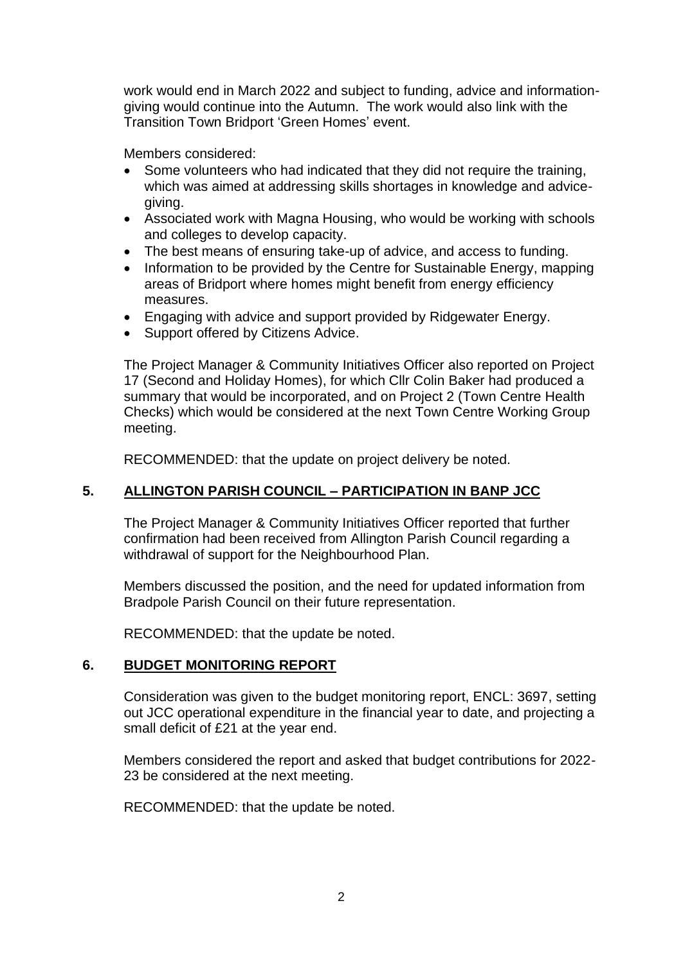work would end in March 2022 and subject to funding, advice and informationgiving would continue into the Autumn. The work would also link with the Transition Town Bridport 'Green Homes' event.

Members considered:

- Some volunteers who had indicated that they did not require the training, which was aimed at addressing skills shortages in knowledge and advicegiving.
- Associated work with Magna Housing, who would be working with schools and colleges to develop capacity.
- The best means of ensuring take-up of advice, and access to funding.
- Information to be provided by the Centre for Sustainable Energy, mapping areas of Bridport where homes might benefit from energy efficiency measures.
- Engaging with advice and support provided by Ridgewater Energy.
- Support offered by Citizens Advice.

The Project Manager & Community Initiatives Officer also reported on Project 17 (Second and Holiday Homes), for which Cllr Colin Baker had produced a summary that would be incorporated, and on Project 2 (Town Centre Health Checks) which would be considered at the next Town Centre Working Group meeting.

RECOMMENDED: that the update on project delivery be noted.

# **5. ALLINGTON PARISH COUNCIL – PARTICIPATION IN BANP JCC**

The Project Manager & Community Initiatives Officer reported that further confirmation had been received from Allington Parish Council regarding a withdrawal of support for the Neighbourhood Plan.

Members discussed the position, and the need for updated information from Bradpole Parish Council on their future representation.

RECOMMENDED: that the update be noted.

## **6. BUDGET MONITORING REPORT**

Consideration was given to the budget monitoring report, ENCL: 3697, setting out JCC operational expenditure in the financial year to date, and projecting a small deficit of £21 at the year end.

Members considered the report and asked that budget contributions for 2022- 23 be considered at the next meeting.

RECOMMENDED: that the update be noted.